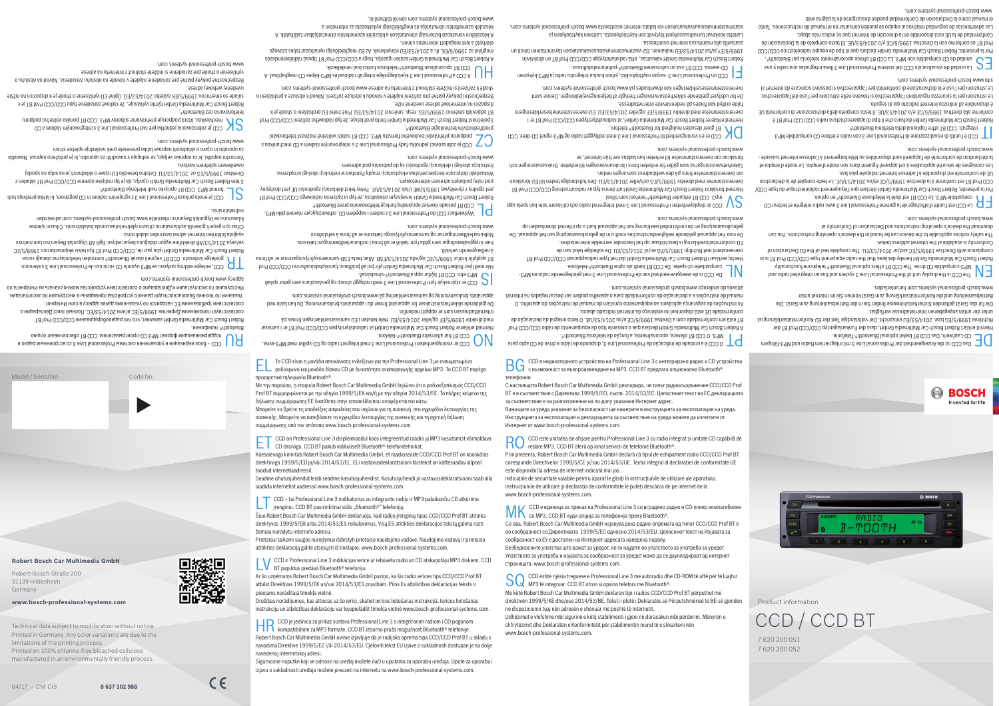

 $\epsilon$ 

**Robert Bosch Car Multimedia GmbH** Robert-Bosch-Straße 200

31139 Hildesheim Germany

**www.bosch-professional-systems.com**

Technical data subject to modification without notice.

Printed in Germany. Any color variations are due to the limitations of the printing process. Printed on 100% chlorine-free bleached cellulose manufactured in an environmentally friendly process.

Product information

 $\Box$  O CCD é a unidade de indicação da Professional Line 3, dispondo de rádio e drive de CD apto para

unter der unten angegebenen Internetadresse verfügbar. Die für das Gerät geltenden Sicherheitshinweise finden in der Betriebsanleitung zum Gerät. Die

7 620 200 051 7 620 200 052

CCD / CCD BT





 $\bigcap_{\text{Bink}}$  Des CCD ist die Anzeigeeinheit der Professional Line 3 mit integriertem Radio und MP3-fähigem D CCD ist die Anzeiten D conditional D C

Hiermit erklärt Robert Bosch Car Multimedia GmbH, dass der Funkanlagentyp CCD/CCD Prof BT der Richtlinie 1999/5/EG bzw. 2014/53/410 entspricht. Der vollständige Text der EU-Konformitätserklärung ist

download the device's operating instructions and Declaration of Conformity at www.bosch-professional-systems.com.

 $\Box$  Le CCD est l'unité d'affichage de la gamme Professional Line 3 avec radio intégrée et lecteur CD

 $\Gamma$   $\blacksquare$  esp doté la CCD B1 est doté la téléphonie Bluetooth® en option.  $F$ ar la présente, Robert Bosch Car Multimedia GmbH déclare que l'équipement radioélectrique du type CCD/ CCD Prof BT est conforme à la directive 1999/5/CE et/ou 2014/53/UE. Le texte complet de la déclaration

> Betriebsanleitung und die Konformitätserklärung zum Gerät können Sie im Internet unter www.bosch-professional-systems.com herunterladen.

The order staths and the professional and the state and has a single processional and the compatible  $\mu_{\rm T}$ Robert Bosch Car Multimedia GmbH hereby declares that the radio equipment type CCD/CCD Prof BI is in compliance with Directive 1999/5/EC and/or 2014/53/EU. The complete text of the EU Declaration of

Prof Bosch Car Multimedia GmbH dichiara che il tipo di apparecchiatura radio CCD/CCD Prof BT è conforme alla direttiva 1999/5/CE e/o 2014/53/VE. Il testo completo della dichiarscione di conformità UE è disponibile all'indirizzo Internet indicato qui di seguito.

Conformity is available at the internet address below. The safety notices applicable to the device can be found in the device's operating instructions. You can

 $\epsilon$  La unidad opter a sistema professional and sistema D universitànsiv eb babinu s $\epsilon$  D  $\epsilon$ Por la presente, Robert Bosch Car Multimedia GmbH declara que el tipo de equipo radioeléctrico CCD/CCD Prot B1 es conforme con la Directiva 1999/5/CE y/o 2014/53/UE. El texto completo de la Declaracion de Conformidad de la UE está disponible en la dirección de Internet que se indica más abajo. Las advertencias de seguridad relativas al equipo se pueden consultar en el manual de instrucciones. Tanto

el manual como la Declaración de Conformidad pueden descargarse de la página web www.bosch-professional-systems.com.

 de conformité est disponible à l'adresse Internet indiquée plus bas. EU Les consignes de sécurité applicables à cet appareil figurent dans son mode d'emploi. Le mode d'emploi et la déclaration de conformité de l'appareil sont disponibles au téléchargement à l'adresse internet suivante : www.bosch-professional-systems.com.

**COL** è l'unità di visuale di professione di Professione di Professione di Professione di Professione di Profes<br>D integrationale 3 con radio di Professione di Bredessione di Professione di Professione di Professione di Pr

overeenstemt met Richtlijn 1995/5/EG en/of 2014/53/EU. De volledige tekst van de U-conformiteitsverklaring is beschikbaar op het hieronder vermelde internetadres. E

conformidade UE está disponível no endereço da internet indicado abaixo.

De voor het apparaat geldende veiligheidsinstructies vindt u in de gebruiksaanwijzing van het apparaat. De gebruiksaanwijzing en de conformiteitsverklaring van het apparaat kunt u op internet downloaden op

 $\sum_{\mathrm{odd}}$  mp3. CCD at displayenheten i Professional Line 3 med integrerad radio och cd-läsare som kan spela upp Prof BT D / GCD / GCD / Car Multimedia Carp are an included that dennimed by D and D and B LGD Prof BT overensstämmer med direktiv 1999/5/EG och/eller 2014/53/EU. Den fullständiga texten till EU-forsakran

Le istruzioni per la sicurezza riguardanti l'apparecchio si trovano nelle istruzioni per l'uso dell'apparecchio. Le istruzioni per l'uso e la dichiarazione di conformità per l'apparecchio si possono scaricare da Internet al sito www.bosch-professional-systems.com.

De for udstyret gældende sikkerhedsanvisninger fremgår af betjeningsvejledningen. Denne samt overensstemmelseserklæringen kan downloades på www.bosch-professional-systems.com.

**BT of MP3. O CCD BT oferece, opcionalmente, a função de telefonia Bluetooth®.** 

De gjeldende sikkerhetsinstrukser for apparatet finner du i apparatets bruksanvisning. Du kan laste ned apparatets bruksanvisning og samsvarserklæring på www.bosch-professional-systems.com.

 $\epsilon$  CCD er stjórnskjár fyrir Professional Line 3 með innbyggt útvarp og geislaspilara sem getur spilað

Her með lýsir Robert Bosch Car Multimedia GmbH yfir því að þraðlausi fjarskiptabunaðurinn CCD/CCD Prof BT uppfyllir kröfur 1999/5/EC og/eða 2014/53/ESB. Allan texta ESB-samræmisyfirlýsingsnisnar er að finna

pliki i sliki zajmući myspiestrawibo , d.0 mebęqen i meibst s 6 an i lianoizeator lab d 00 s solbewe wietlacz c

Propert Bosch Car Multimedia GmbH niniejszym oświadcza, że typ urządzenia radiowego CCD/CD Prof BT jest zgodny z dyrektywą 1999/5/WE i/lub 2014/53/UE. Pełny tekst deklaracji zgodności UE jest dostępny

z uoxlinsdoem QS s meibs na viesvorgedni e E eni J listoizedord vbeň sakonbej bosvostados ej QSS  $\sum$ 

Společnost Robert Bosch Car Multimedia GmbH tímto prohlašuje, že typ rádiového zařízení CCD/CCD Prof BT odpovídá směrníci 1999/5/ES, resp. směrnici 2014/63/24/ Plné znění EU prohlášení o shodě je k

> As instruções de segurança aplicáveis ao equipamento constam do manual de instruções do aparelho. O manual de instruções e a declaração de conformidade para o aparelho podem ser descarregados na internet

N ∏ De CCD is de weergave-eenheid van de Professional Lani os 3 met geïntegreerde radio en MP3-<br>D Compatibele cd-speler. De OCD BT biedt ab pois de Pluetoot®l-telefonie. Hierbij verklaart Hobert Bosch Car Multimedia GmbH dat het type radioapparaat CCD/CCD Prof B1

através do endereço www.bosch-professional-systems.com.

Bezpečnostní pokyny platné pro zařízení najdete v návodu k obsluze zařízení. Návod k obsluze a prohlášení o shodě k zařízení si můžete stáhnout z Internetu na adrese www.bosch-professional-systems.com.

 $\mathcal{D}_{\rm coD}$  er visningsenheten i Professional Line 3 med integrert radio og CD-spiller med MP3-evne. **Hermed erklærer Robert Bosch Car Multimedia GmbH at radioutstyrstypen CCD/CCD Prof BT er i samsvar** med direktiv 1999/5/EF og/eller 2014/53/EU. Hele teksten i EU-samsvarserklæringen finnes på

 $\mathsf{B}$  – блок индикации и управления системы Professional Line 3 со встроенным радио и для онды радио и для систементи радио и для систементи радио и для систементи радио и для систементи радио и для систементи радио и Bluetooth®-телефонии. www.bosch-professional-systems.com.

Propert Bosch Car Multimedia GmbH заявляет, что тип радиооборудования CCD/CCD Prof B1 Соответствует положениям Директив 1999/5/ЕС и/или 2014/53/ЕС. Полный текст Декларации о соответствии требованиям ЕС находится по указанному далее адресу в сети Интернет. Указания по технике безопасности для данного уcтройcтва приведены в инструкции по эксплуатации. Инструкцию по эксплуатации и Декларацию о соответствии устройства можно скачать из Интернетa по

адресу www.bosch-professional-systems.com  $\Box$  CCU, entegre edilmiş radyosu ve MP3 uyumlu CD sürücüsü ile Professional Line 3 sisteminin nimi

BT 1. Baterge ünitesidir. CCD BT seçmeli olarak Bluetooth® üzerinden telefonlaşma olanağı sunar.<br>Ölkerinden telefonlar Robert Bosch Car Multimedia GmbH içişbu yazı ile, CCD/CCD Prof diti Telsiz ekipmanlarının 1999/5/EC ve/veya 2014/53/AB direktifine uygun olduğunu beyan ediyor. İlgili AB Uygunluk Beyanı'nın tam metnini aşağıda bildirilen İnternet adresi üzerinden alabilirsiniz.

om överensstämmelse finns på den webbadress som anges nedan.

Säkerhetsanvisningarna som gäller för enheten finns i bruksanvisningen till enheten. Bruksanvisningen och

 $\sum_{\mathrm{A}}$  giver desuden mulighed for Bluetooth®-telefoni.<br>De als diver desuden mulighed for Bluetooth®-telefoni. Promed erklærer Robert Bosch Car Multimedia GmbH, at radioudstyrstypen CCD/CCD Prof BT er i overensstemmelse med direktiv 1999/5/FF og/eller 2014/53/EU. EU-overensstemmelseserklæringens

1999/5/EY ja/tai 2014/53/EU mukainen. EU-vaatimustenmukaisuusvakuutuksen täysimittainen teksti on

försäkran om överensstämmelse till enheten kan laddas ner från Internet, se

BT:stän on vasema. CCD BT:ssä on valinnainen Bluetonians. D on the mass-correlation of the sema. D  $\blacksquare$ 

www.bosch-professional-systems.com.

telefonovania cez Bluetooth®. Robert Bosch Car Multimedia GmbH týmto vyhlasuje, že rádiové zariadenie typu CCD/CCD Prof BT je v

fulde ordlyd kan findes på nedennævnte internetadresse.

súlade so smernicou 1999/5/EK a/alebo 2014/53/EU. Úplné EU vyhlásenie o zhode je k dispozícii na nižšie uvedenej webovej adrese.

megfelel az 1999/5/EK, ill. a 2014/53/EU irányelvnek. Az EU-megfelelőségi nyilatkozat teljes szövege vyhlásenie o zhode pre zariadenie si môžete stiahnuť z Internetu na adrese www.bosch-professional-systems.com.

A . Isvòtisnagem-Q3 zeqsà-t-SqM a è instegration es al a Babajdà és MP3-képes CD-meghajtóval. A A CCD a propor<br>A la CCD BT opcionálisan Bluetooth®-telefonos funkcióval rendelkezik.

saatavilla alla mainitussa internet-osoitteessa.

Laitetta koskevat turvallisuusohjeet löytyvät sen käyttöohjeesta. Laitteen käyttöohjeen ja

vaatimustenmukaisuusvakuutuksen voi ladata internet-osoitteesta www.bosch-professional-systems.com.

internettadressen som er oppgitt nedenfor.

HR CCD je jedinica za prikaz sustava Professional Line 3 s integriranim radiom i CD pogonom<br>Kompatibilnim za MP3 formate. CCD BT izborno pruža mogućnost Bluetooth® telefonije. Robert Bosch Car Multimedia GmbH ovime izjavljuje da je radijska oprema tipa CCD/CCD Prof BT u skladu s navodima Direktive 1999/5/EZ i/ili 2014/53/EU. Cjeloviti tekst EU izjave o sukladnosti dostupan je na dolje

á neðangreindri vefslóð.

Þær öryggisábendingar sem gilda fyrir tækið er að finna í notkunarleiðbeiningum tækisins. otkunarleiðbeiningarnar og samræmisyfirlýsingu tækisins er að finna á vefslóðinni N

www.bosch-professional-systems.com.

BT posiada również opcjonalną funkcję telefonowania przez Bluetooth®. D CC

pod niżej podanym adresem internetowym.

Wskazówki dotyczące bezpieczeństwa eksploatacji znajdą Państwo w instrukcji obsługi urządzenia.

Instrukcja obsługi i deklaracji zgodności są do pobrania pod adresem

www.bosch-professional-systems.com.

prostřednictvím technologie Bluetooth®.

SO CCD është njësia treguese e Professional Line 3 me autoradio dhe CD-ROM të aftë për të luajtur<br>MP3 të integruar. CCD BT ofron si opsion telefoni me Bluetooth®. Me këtë Robert Bosch Car Multimedia GmbH deklaron tipi i radios CCD/CCD Prof BT përputhet me direktivën 1999/5/KE dhe/ose 2014/53/BE. Teksti i plotë i Deklaratës së Përputshmërisë të BE-së gjenden

dispozici na internetové adrese uvedené níže.

elérhető a lent megadott internetes címen.

A készülékre vonatkozó biztonsági útmutatások a készülék üzemeltetési útmutatójában találhatók. A

készülék üzemeltetési útmutatója és megfelelőségi nyilatkozata az interneten a

www.bosch-professional-systems.com címről tölthető le.

Cihaz için geçerli güvenlik açıklamalarını cihazın işletme kılavuzunda bulabilirsiniz. Cihazın işletme kılavuzunu ve Uygunluk Beyanı nı internette www.bosch-professional-systems.com adresinden indirebilirsiniz.

 $\mathcal{L}$  cognometal prikaza Professional Line 3 z vgrajenim radiom in CD pogonom, ki lahko predvaja tudi

 $\Gamma$  format MP3. CCD BT opcijsko nudi telefonila bluetooth®. S tem Robert Bosch Car Multimedia GmbH izjavlja, da je tip radijske opreme CCD/CCD Prof B1 skladen z

Direktivo 1999/5/E2 oz. 2014/53/FU. Celotno besedilo EU izjave o skladnosti je na voljo na spodaj

navedenem spletnem naslovu.

avodila N arnostni napotki, ki za napravo veljajo, se nahajajo v navodilih za uporabo, ki je priloženo napravi. V za uporabo in izjavo o skladnosti naprave lahko prenesete prek naslednje spletne strani www.bosch-professional-systems.com.

 $\mathcal{S}_{\mathsf{S}}$  a ministe mytrovaria is 8 s enil lationizato de has prehrávaným rádiom a CD  $\mathcal{S}_{\mathsf{S}}$ 

ávod na obsluhu a N Bezpečnostné pokyny platné pre zariadenie nájdete v návode na obsluhu zariadenia.

el Το CCD είναι η μονάδα απεικόνισης ενδείξεων για την Professional Line 3 με ενσωματωμένο ραδιόφωνο και μονάδα δίσκου CD με δυνατότητα αναπαραγωγής αρχείων MP3. Το CCD BT παρέχει

συσκευής. Μπορείτε να κατεβάσετε το εγχειρίδιο λειτουργίας της συσκευής και τη σχετική δήλωση

συμμόρφωσης από τον ιστότοπο www.bosch-professional-systems.com.

et CCD on Professional Line 3 displeimoodul koos integreeritud raadio ja MP3 kasutamist võimaldava CD-draiviga. CCD BT pakub valikuliselt Bluetooth®-telefonitehnikat. Käesolevaga kinnitab Robert Bosch Car Multimedia GmbH, et raadioseade CCD/CCD Prof BT on kooskõlas direktiiviga 1999/5/EÜ ja/või 2014/53/EL. ELi vastavusdeklaratsiooni täistekst on kättesaadav allpool

toodud internetiaadressil.

Seadme ohutusjuhendid leiab seadme kasutusjuhendist. Kasutusjuhendi ja vastavusdeklaratsiooni saab alla

laadida internetist aadressil www.bosch-professional-systems.com.

**L**  $\parallel$  *i*renginiu. CCD BT pasirinktinai siūlo "Bluetooth<sup>®"</sup> telefoniją.

lt CCD – tai Professional Line 3 indikatorius su integruotu radiju ir MP3 palaikančiu CD atkūrimo

Šiuo Robert Bosch Car Multimedia GmbH deklaruoja, kad radijo įrenginių tipas CCD/CCD Prof BT atitinka direktyvos 1999/5/EB arba 2014/53/ES reikalavimus. Visą ES atitikties deklaracijos tekstą galima rasti

žemiau nurodytu interneto adresu.

Prietaisui taikomi saugos nurodymai išdėstyti prietaiso naudojimo vadove. Naudojimo vadovą ir prietaiso

atitikties deklaraciją galite atsisiųsti iš tinklapio: www.bosch-professional-systems.com.

lv CCD ir Professional Line 3 indikācijas ierīce ar iebūvētu radio un CD atskaņotāju MP3 diskiem. CCD BT papildus piedāvā Bluetooth® telefoniju. Ar šo uzņēmums Robert Bosch Car Multimedia GmbH paziņo, ka šis radio ierīces tips CCD/CCD Prof BT atbilst Direktīvas 1999/5/EK un/vai 2014/53/ES prasībām. Pilns Es atbilstības deklarācijas teksts ir

pieejams norādītajā tīmekļa vietnē.

Drošības norādījumus, kas attiecas uz šo ierīci, skatiet ierīces lietošanas instrukcijā. Ierīces lietošanas instrukciju un atbilstības deklarāciju var lejupielādēt tīmekļa vietnē www.bosch-professional-systems.com.

navedenoj internetskoj adresi.

προαιρετικά τηλεφωνία Bluetooth®. Με την παρούσα, η εταιρεία Robert Bosch Car Multimedia GmbH δηλώνει ότι ο ραδιοεξοπλισμός CCD/CCD Prof BT συμμορφώνεται με την οδηγία 1999/5/ΕΚ και/ή με την οδηγία 2014/53/ΕΕ. Το πλήρες κείμενο της δήλωσης συμμόρφωσης ΕΕ διατίθεται στην ιστοσελίδα που αναφέρεται πιο κάτω: Μπορείτε να βρείτε τις υποδείξεις ασφαλείας που ισχύουν για τη συσκευή στο εγχειρίδιο λειτουργίας της Model / Serial No. Code No.

> Sigurnosne naputke koji se odnose na uređaj možete naći u uputama za uporabu uređaja. Upute za uporabu i izjavu o sukladnosti uređaja možete preuzeti na internetu na www.bosch-professional-systems.com.

bg CCD е индикаторното устройство на Professional Line 3 с интегрирано радио и CD устройство с възможност за възпроизвеждане на MP3. CCD BT предлага опционално Bluetooth®

телефония.

Buenidamis-®rhooteula á qqu nuð var ar Bildabínað.

Propert Bosch Car Multimedia GimbH ezúton igazol, a god kaj a CD/CCD Prof 18 fidencia bis da Bosch A

Figure on Professional Line 3 -sarjan näyttöykö, johon kuuluu integroitu radio ja MP3-kykyinen

Robert Bosch Car Multimedia GmbH vakuuttaa, että radiolaitetyyppi CCD/CCD Prof BT on direktiivin

С настоящото Robert Bosch Car Multimedia GmbH декларира, че типът радиосъоръжение CCD/CCD Prof BT е в съответствие с Директива 1999/5/EО, съотв. 2014/53/EС. Цялостният текст на ЕС декларацията

за съответствие е на разположение на по-долу указания Интернет адрес.

 $\mathsf{IVIN}\;$ со МРЗ. ССD ВТ нуди опција за телефонија преку Bluetooth®.

Важащите за уреда указания за безопасност ще намерите в инструкцията за експлоатация на уреда. Инструкцията за експлоатация и декларацията за съответствие на уреда можете да изтеглите от

RO CCD este unitatea de afișare pentru Professional Line 3 cu radio integrat și unitate CD capabilă de redare MP3. CCD BT oferă op ional servicii de telefonie Bluetooth®. Prin prezenta, Robert Bosch Car Multimedia GmbH declară că tipul de echipament radio CCD/CCD Prof BT corespunde Directivelor 1999/5/CE și/sau 2014/53/UE. Textul integral al declarației de conformitate UE

 $\ell$  CCD е единица за приказ на Professional Line 3 со вградено радио и CD-плеер компатибилен

Интернет от www.bosch-professional-systems.com.

este disponibil la adresa de internet indicată mai jos.

Indicaţiile de securitate valabile pentru aparat le găsiţi în instrucţiunile de utilizare ale aparatului. Instrucţiunile de utilizare şi declaraţia de conformitate le puteţi descărca de pe internet de la

Со ова, Robert Bosch Car Multimedia GmbH изјавува дека радио-опремата од типот CCD/CCD Prof BT е во сообразност со Директивата 1999/5/EC односно 2014/53/EU. Целосниот текст на Изјавата за

сообразност со ЕУ е достапен на Интернет-адресата наведена подолу.

Безбедносните упатства што важат за уредот, ќе ги најдете во упатството за употреба за уредот. Упатството за употреба и изјавата за сообразност за уредот може да се даунлодираат од интернет

страницата: www.bosch-professional-systems.com.

në dispozicionin tuaj nën adresën e shënuar më poshtë të Internetit.

Udhëzimet e vlefshme mbi sigurinë e këtij stabilimenti i gjeni në doracakun mbi përdorim. Mënyrën e

shfrytëzimit dhe Deklaratën e Konformitetit për stabilimentin mund të e shkarkoni nën

www.bosch-professional-systems.com.

www.bosch-professional-systems.com.

Propert Bosch Car Multimedia GmbH declara que o presente tipo de equipamento de radio CCD/CCD Prof BT está em conformidade com a Diretiva 1999/5/CE e/ou 2014/53/UE. O texto integral da declaração de